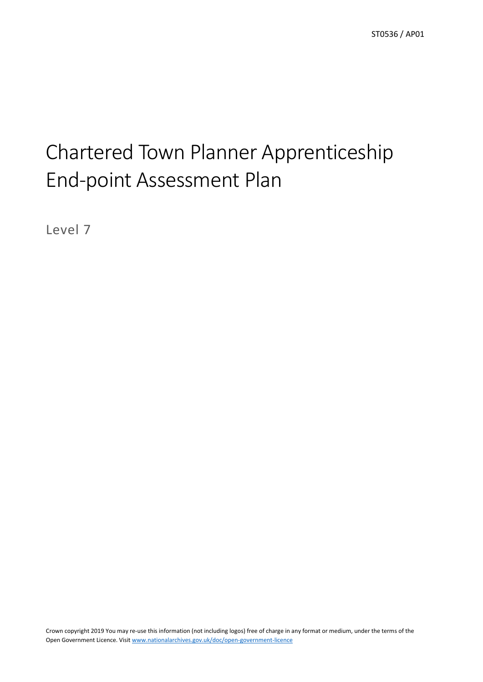# Chartered Town Planner Apprenticeship End-point Assessment Plan

Level 7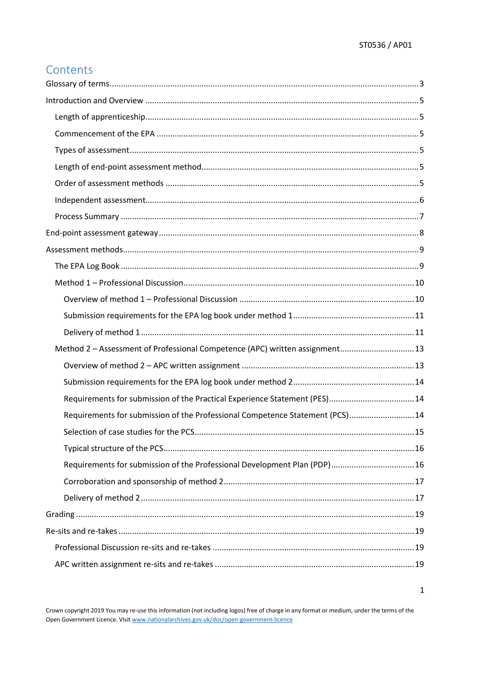$\mathbf 1$ 

# Contents

| Method 2 - Assessment of Professional Competence (APC) written assignment 13  |  |
|-------------------------------------------------------------------------------|--|
|                                                                               |  |
|                                                                               |  |
| Requirements for submission of the Practical Experience Statement (PES)14     |  |
| Requirements for submission of the Professional Competence Statement (PCS) 14 |  |
|                                                                               |  |
|                                                                               |  |
| Requirements for submission of the Professional Development Plan (PDP) 16     |  |
|                                                                               |  |
|                                                                               |  |
|                                                                               |  |
|                                                                               |  |
|                                                                               |  |
|                                                                               |  |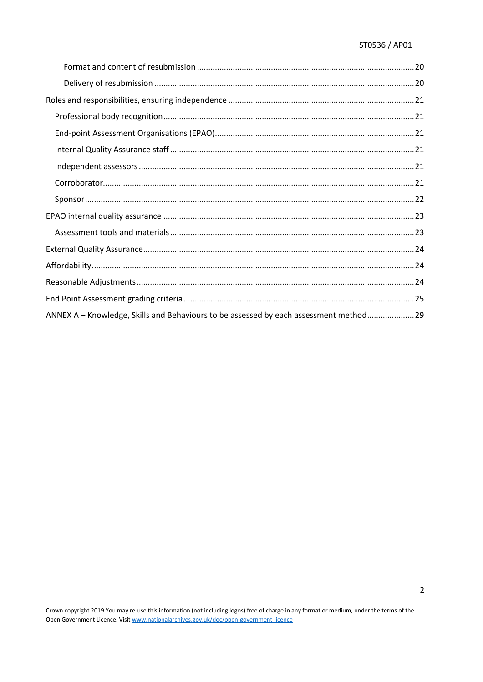| ANNEX A - Knowledge, Skills and Behaviours to be assessed by each assessment method 29 |  |
|----------------------------------------------------------------------------------------|--|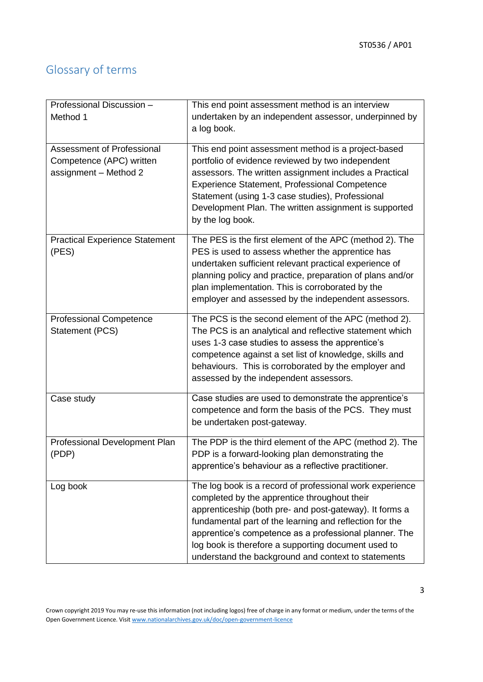# <span id="page-3-0"></span>Glossary of terms

| Professional Discussion -<br>Method 1                                           | This end point assessment method is an interview<br>undertaken by an independent assessor, underpinned by<br>a log book.                                                                                                                                                                                                                                                                               |
|---------------------------------------------------------------------------------|--------------------------------------------------------------------------------------------------------------------------------------------------------------------------------------------------------------------------------------------------------------------------------------------------------------------------------------------------------------------------------------------------------|
| Assessment of Professional<br>Competence (APC) written<br>assignment - Method 2 | This end point assessment method is a project-based<br>portfolio of evidence reviewed by two independent<br>assessors. The written assignment includes a Practical<br><b>Experience Statement, Professional Competence</b><br>Statement (using 1-3 case studies), Professional<br>Development Plan. The written assignment is supported<br>by the log book.                                            |
| <b>Practical Experience Statement</b><br>(PES)                                  | The PES is the first element of the APC (method 2). The<br>PES is used to assess whether the apprentice has<br>undertaken sufficient relevant practical experience of<br>planning policy and practice, preparation of plans and/or<br>plan implementation. This is corroborated by the<br>employer and assessed by the independent assessors.                                                          |
| <b>Professional Competence</b><br>Statement (PCS)                               | The PCS is the second element of the APC (method 2).<br>The PCS is an analytical and reflective statement which<br>uses 1-3 case studies to assess the apprentice's<br>competence against a set list of knowledge, skills and<br>behaviours. This is corroborated by the employer and<br>assessed by the independent assessors.                                                                        |
| Case study                                                                      | Case studies are used to demonstrate the apprentice's<br>competence and form the basis of the PCS. They must<br>be undertaken post-gateway.                                                                                                                                                                                                                                                            |
| Professional Development Plan<br>(PDP)                                          | The PDP is the third element of the APC (method 2). The<br>PDP is a forward-looking plan demonstrating the<br>apprentice's behaviour as a reflective practitioner.                                                                                                                                                                                                                                     |
| Log book                                                                        | The log book is a record of professional work experience<br>completed by the apprentice throughout their<br>apprenticeship (both pre- and post-gateway). It forms a<br>fundamental part of the learning and reflection for the<br>apprentice's competence as a professional planner. The<br>log book is therefore a supporting document used to<br>understand the background and context to statements |

Crown copyright 2019 You may re-use this information (not including logos) free of charge in any format or medium, under the terms of the Open Government Licence. Visit [www.nationalarchives.gov.uk/doc/open-government-licence](http://www.nationalarchives.gov.uk/doc/open-government-licence)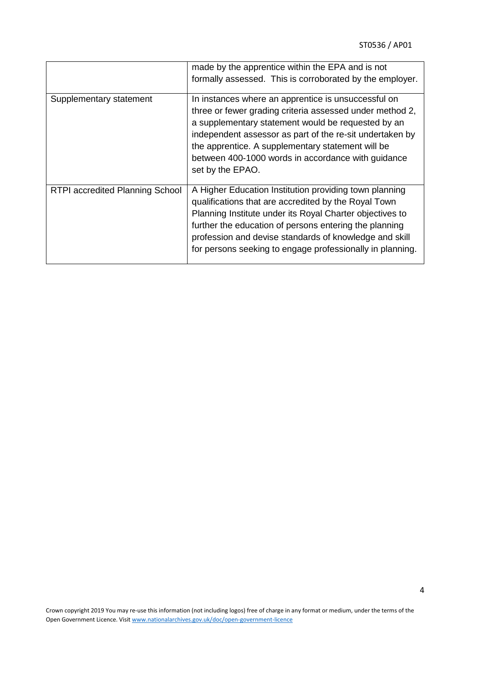|                                        | made by the apprentice within the EPA and is not<br>formally assessed. This is corroborated by the employer.                                                                                                                                                                                                                                                     |
|----------------------------------------|------------------------------------------------------------------------------------------------------------------------------------------------------------------------------------------------------------------------------------------------------------------------------------------------------------------------------------------------------------------|
| Supplementary statement                | In instances where an apprentice is unsuccessful on<br>three or fewer grading criteria assessed under method 2,<br>a supplementary statement would be requested by an<br>independent assessor as part of the re-sit undertaken by<br>the apprentice. A supplementary statement will be<br>between 400-1000 words in accordance with guidance<br>set by the EPAO. |
| <b>RTPI accredited Planning School</b> | A Higher Education Institution providing town planning<br>qualifications that are accredited by the Royal Town<br>Planning Institute under its Royal Charter objectives to<br>further the education of persons entering the planning<br>profession and devise standards of knowledge and skill<br>for persons seeking to engage professionally in planning.      |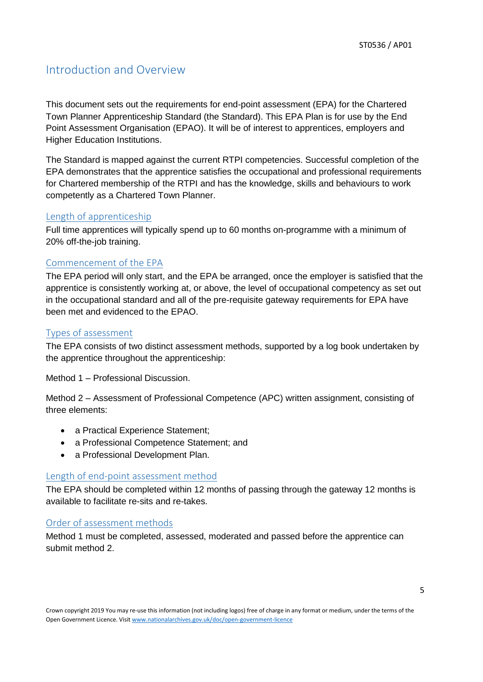# <span id="page-5-0"></span>Introduction and Overview

This document sets out the requirements for end-point assessment (EPA) for the Chartered Town Planner Apprenticeship Standard (the Standard). This EPA Plan is for use by the End Point Assessment Organisation (EPAO). It will be of interest to apprentices, employers and Higher Education Institutions.

The Standard is mapped against the current RTPI competencies. Successful completion of the EPA demonstrates that the apprentice satisfies the occupational and professional requirements for Chartered membership of the RTPI and has the knowledge, skills and behaviours to work competently as a Chartered Town Planner.

#### <span id="page-5-1"></span>Length of apprenticeship

Full time apprentices will typically spend up to 60 months on-programme with a minimum of 20% off-the-job training.

#### <span id="page-5-2"></span>Commencement of the EPA

The EPA period will only start, and the EPA be arranged, once the employer is satisfied that the apprentice is consistently working at, or above, the level of occupational competency as set out in the occupational standard and all of the pre-requisite gateway requirements for EPA have been met and evidenced to the EPAO.

#### <span id="page-5-3"></span>Types of assessment

The EPA consists of two distinct assessment methods, supported by a log book undertaken by the apprentice throughout the apprenticeship:

Method 1 – Professional Discussion.

Method 2 – Assessment of Professional Competence (APC) written assignment, consisting of three elements:

- a Practical Experience Statement:
- a Professional Competence Statement; and
- a Professional Development Plan.

#### <span id="page-5-4"></span>Length of end-point assessment method

The EPA should be completed within 12 months of passing through the gateway 12 months is available to facilitate re-sits and re-takes.

#### <span id="page-5-5"></span>Order of assessment methods

Method 1 must be completed, assessed, moderated and passed before the apprentice can submit method 2.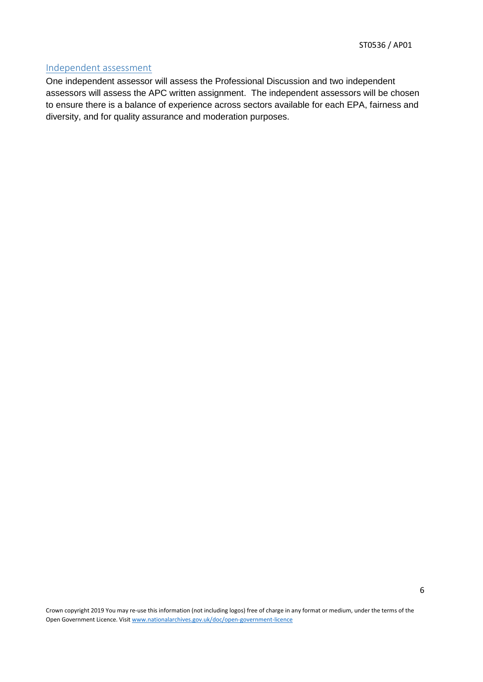#### <span id="page-6-0"></span>Independent assessment

One independent assessor will assess the Professional Discussion and two independent assessors will assess the APC written assignment. The independent assessors will be chosen to ensure there is a balance of experience across sectors available for each EPA, fairness and diversity, and for quality assurance and moderation purposes.

Crown copyright 2019 You may re-use this information (not including logos) free of charge in any format or medium, under the terms of the Open Government Licence. Visit [www.nationalarchives.gov.uk/doc/open-government-licence](http://www.nationalarchives.gov.uk/doc/open-government-licence)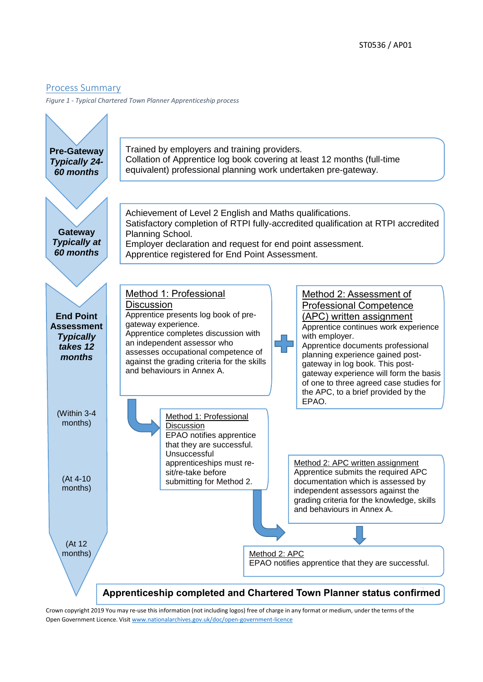#### <span id="page-7-0"></span>Process Summary

*Figure 1 - Typical Chartered Town Planner Apprenticeship process*



Crown copyright 2019 You may re-use this information (not including logos) free of charge in any format or medium, under the terms of the Open Government Licence. Visit [www.nationalarchives.gov.uk/doc/open-government-licence](http://www.nationalarchives.gov.uk/doc/open-government-licence)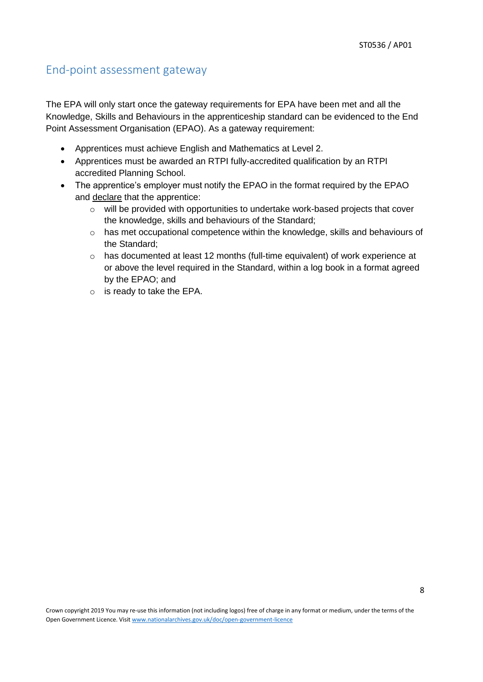### <span id="page-8-0"></span>End-point assessment gateway

The EPA will only start once the gateway requirements for EPA have been met and all the Knowledge, Skills and Behaviours in the apprenticeship standard can be evidenced to the End Point Assessment Organisation (EPAO). As a gateway requirement:

- Apprentices must achieve English and Mathematics at Level 2.
- Apprentices must be awarded an RTPI fully-accredited qualification by an RTPI accredited Planning School.
- The apprentice's employer must notify the EPAO in the format required by the EPAO and declare that the apprentice:
	- o will be provided with opportunities to undertake work-based projects that cover the knowledge, skills and behaviours of the Standard;
	- o has met occupational competence within the knowledge, skills and behaviours of the Standard;
	- $\circ$  has documented at least 12 months (full-time equivalent) of work experience at or above the level required in the Standard, within a log book in a format agreed by the EPAO; and
	- o is ready to take the EPA.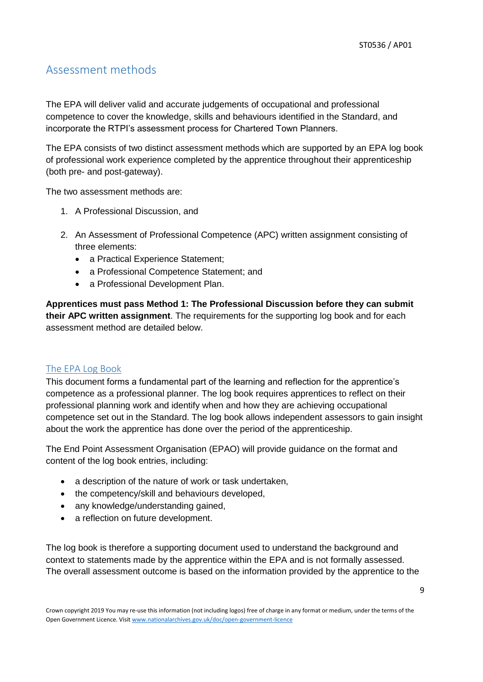### <span id="page-9-0"></span>Assessment methods

The EPA will deliver valid and accurate judgements of occupational and professional competence to cover the knowledge, skills and behaviours identified in the Standard, and incorporate the RTPI's assessment process for Chartered Town Planners.

The EPA consists of two distinct assessment methods which are supported by an EPA log book of professional work experience completed by the apprentice throughout their apprenticeship (both pre- and post-gateway).

The two assessment methods are:

- 1. A Professional Discussion, and
- 2. An Assessment of Professional Competence (APC) written assignment consisting of three elements:
	- a Practical Experience Statement;
	- a Professional Competence Statement; and
	- a Professional Development Plan.

**Apprentices must pass Method 1: The Professional Discussion before they can submit their APC written assignment**. The requirements for the supporting log book and for each assessment method are detailed below.

#### <span id="page-9-1"></span>The EPA Log Book

This document forms a fundamental part of the learning and reflection for the apprentice's competence as a professional planner. The log book requires apprentices to reflect on their professional planning work and identify when and how they are achieving occupational competence set out in the Standard. The log book allows independent assessors to gain insight about the work the apprentice has done over the period of the apprenticeship.

The End Point Assessment Organisation (EPAO) will provide guidance on the format and content of the log book entries, including:

- a description of the nature of work or task undertaken,
- the competency/skill and behaviours developed,
- any knowledge/understanding gained,
- a reflection on future development.

The log book is therefore a supporting document used to understand the background and context to statements made by the apprentice within the EPA and is not formally assessed. The overall assessment outcome is based on the information provided by the apprentice to the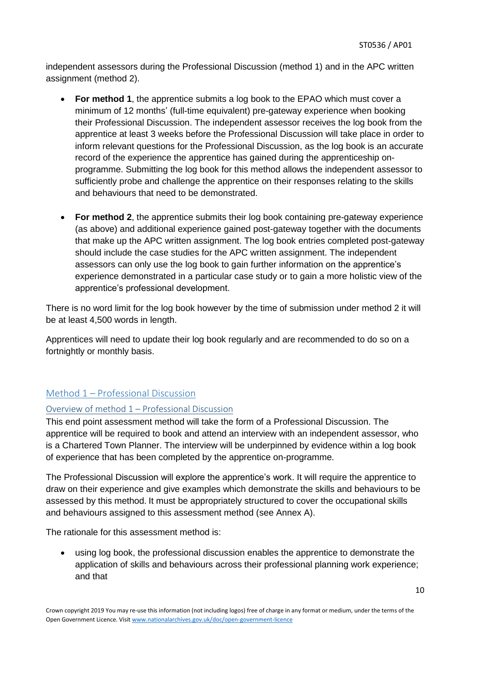independent assessors during the Professional Discussion (method 1) and in the APC written assignment (method 2).

- **For method 1**, the apprentice submits a log book to the EPAO which must cover a minimum of 12 months' (full-time equivalent) pre-gateway experience when booking their Professional Discussion. The independent assessor receives the log book from the apprentice at least 3 weeks before the Professional Discussion will take place in order to inform relevant questions for the Professional Discussion, as the log book is an accurate record of the experience the apprentice has gained during the apprenticeship onprogramme. Submitting the log book for this method allows the independent assessor to sufficiently probe and challenge the apprentice on their responses relating to the skills and behaviours that need to be demonstrated.
- **For method 2**, the apprentice submits their log book containing pre-gateway experience (as above) and additional experience gained post-gateway together with the documents that make up the APC written assignment. The log book entries completed post-gateway should include the case studies for the APC written assignment. The independent assessors can only use the log book to gain further information on the apprentice's experience demonstrated in a particular case study or to gain a more holistic view of the apprentice's professional development.

There is no word limit for the log book however by the time of submission under method 2 it will be at least 4,500 words in length.

Apprentices will need to update their log book regularly and are recommended to do so on a fortnightly or monthly basis.

#### <span id="page-10-0"></span>Method 1 – Professional Discussion

#### <span id="page-10-1"></span>Overview of method 1 – Professional Discussion

This end point assessment method will take the form of a Professional Discussion. The apprentice will be required to book and attend an interview with an independent assessor, who is a Chartered Town Planner. The interview will be underpinned by evidence within a log book of experience that has been completed by the apprentice on-programme.

The Professional Discussion will explore the apprentice's work. It will require the apprentice to draw on their experience and give examples which demonstrate the skills and behaviours to be assessed by this method. It must be appropriately structured to cover the occupational skills and behaviours assigned to this assessment method (see Annex A).

The rationale for this assessment method is:

using log book, the professional discussion enables the apprentice to demonstrate the application of skills and behaviours across their professional planning work experience; and that

Crown copyright 2019 You may re-use this information (not including logos) free of charge in any format or medium, under the terms of the Open Government Licence. Visit [www.nationalarchives.gov.uk/doc/open-government-licence](http://www.nationalarchives.gov.uk/doc/open-government-licence)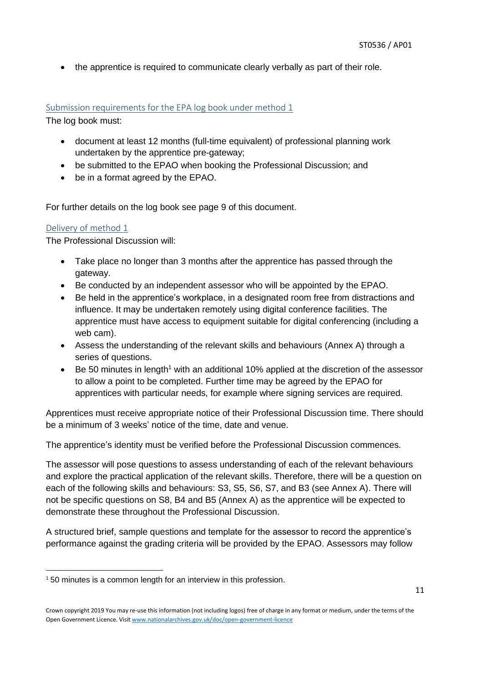• the apprentice is required to communicate clearly verbally as part of their role.

#### <span id="page-11-0"></span>Submission requirements for the EPA log book under method 1

The log book must:

- document at least 12 months (full-time equivalent) of professional planning work undertaken by the apprentice pre-gateway;
- be submitted to the EPAO when booking the Professional Discussion; and
- be in a format agreed by the EPAO.

For further details on the log book see page 9 of this document.

#### <span id="page-11-1"></span>Delivery of method 1

The Professional Discussion will:

- Take place no longer than 3 months after the apprentice has passed through the gateway.
- Be conducted by an independent assessor who will be appointed by the EPAO.
- Be held in the apprentice's workplace, in a designated room free from distractions and influence. It may be undertaken remotely using digital conference facilities. The apprentice must have access to equipment suitable for digital conferencing (including a web cam).
- Assess the understanding of the relevant skills and behaviours (Annex A) through a series of questions.
- Be 50 minutes in length<sup>1</sup> with an additional 10% applied at the discretion of the assessor to allow a point to be completed. Further time may be agreed by the EPAO for apprentices with particular needs, for example where signing services are required.

Apprentices must receive appropriate notice of their Professional Discussion time. There should be a minimum of 3 weeks' notice of the time, date and venue.

The apprentice's identity must be verified before the Professional Discussion commences.

The assessor will pose questions to assess understanding of each of the relevant behaviours and explore the practical application of the relevant skills. Therefore, there will be a question on each of the following skills and behaviours: S3, S5, S6, S7, and B3 (see Annex A). There will not be specific questions on S8, B4 and B5 (Annex A) as the apprentice will be expected to demonstrate these throughout the Professional Discussion.

A structured brief, sample questions and template for the assessor to record the apprentice's performance against the grading criteria will be provided by the EPAO. Assessors may follow

**<sup>.</sup>**  $150$  minutes is a common length for an interview in this profession.

Crown copyright 2019 You may re-use this information (not including logos) free of charge in any format or medium, under the terms of the Open Government Licence. Visit [www.nationalarchives.gov.uk/doc/open-government-licence](http://www.nationalarchives.gov.uk/doc/open-government-licence)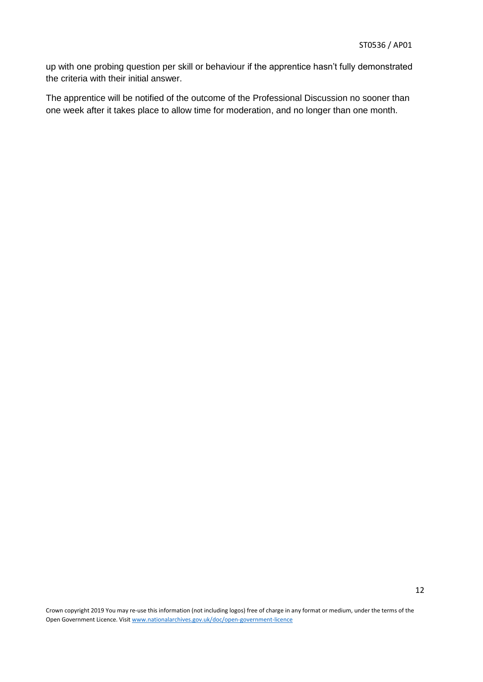up with one probing question per skill or behaviour if the apprentice hasn't fully demonstrated the criteria with their initial answer.

The apprentice will be notified of the outcome of the Professional Discussion no sooner than one week after it takes place to allow time for moderation, and no longer than one month.

Crown copyright 2019 You may re-use this information (not including logos) free of charge in any format or medium, under the terms of the Open Government Licence. Visit [www.nationalarchives.gov.uk/doc/open-government-licence](http://www.nationalarchives.gov.uk/doc/open-government-licence)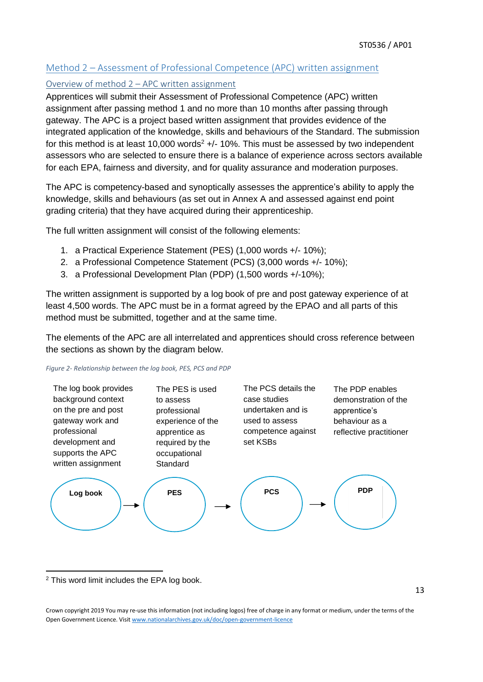#### <span id="page-13-0"></span>Method 2 – Assessment of Professional Competence (APC) written assignment

#### <span id="page-13-1"></span>Overview of method 2 – APC written assignment

Apprentices will submit their Assessment of Professional Competence (APC) written assignment after passing method 1 and no more than 10 months after passing through gateway. The APC is a project based written assignment that provides evidence of the integrated application of the knowledge, skills and behaviours of the Standard. The submission for this method is at least 10,000 words<sup>2</sup> +/- 10%. This must be assessed by two independent assessors who are selected to ensure there is a balance of experience across sectors available for each EPA, fairness and diversity, and for quality assurance and moderation purposes.

The APC is competency-based and synoptically assesses the apprentice's ability to apply the knowledge, skills and behaviours (as set out in Annex A and assessed against end point grading criteria) that they have acquired during their apprenticeship.

The full written assignment will consist of the following elements:

- 1. a Practical Experience Statement (PES) (1,000 words +/- 10%);
- 2. a Professional Competence Statement (PCS) (3,000 words +/- 10%);
- 3. a Professional Development Plan (PDP) (1,500 words +/-10%);

The written assignment is supported by a log book of pre and post gateway experience of at least 4,500 words. The APC must be in a format agreed by the EPAO and all parts of this method must be submitted, together and at the same time.

The elements of the APC are all interrelated and apprentices should cross reference between the sections as shown by the diagram below.

#### *Figure 2- Relationship between the log book, PES, PCS and PDP*



**.** <sup>2</sup> This word limit includes the EPA log book.

<sup>13</sup>

Crown copyright 2019 You may re-use this information (not including logos) free of charge in any format or medium, under the terms of the Open Government Licence. Visit [www.nationalarchives.gov.uk/doc/open-government-licence](http://www.nationalarchives.gov.uk/doc/open-government-licence)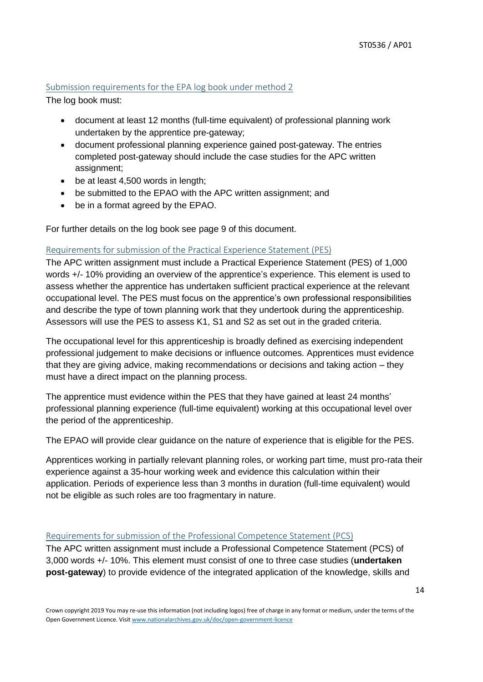#### <span id="page-14-0"></span>Submission requirements for the EPA log book under method 2

The log book must:

- document at least 12 months (full-time equivalent) of professional planning work undertaken by the apprentice pre-gateway;
- document professional planning experience gained post-gateway. The entries completed post-gateway should include the case studies for the APC written assignment;
- be at least 4,500 words in length;
- be submitted to the EPAO with the APC written assignment; and
- be in a format agreed by the EPAO.

For further details on the log book see page 9 of this document.

#### <span id="page-14-1"></span>Requirements for submission of the Practical Experience Statement (PES)

The APC written assignment must include a Practical Experience Statement (PES) of 1,000 words +/- 10% providing an overview of the apprentice's experience. This element is used to assess whether the apprentice has undertaken sufficient practical experience at the relevant occupational level. The PES must focus on the apprentice's own professional responsibilities and describe the type of town planning work that they undertook during the apprenticeship. Assessors will use the PES to assess K1, S1 and S2 as set out in the graded criteria.

The occupational level for this apprenticeship is broadly defined as exercising independent professional judgement to make decisions or influence outcomes. Apprentices must evidence that they are giving advice, making recommendations or decisions and taking action – they must have a direct impact on the planning process.

The apprentice must evidence within the PES that they have gained at least 24 months' professional planning experience (full-time equivalent) working at this occupational level over the period of the apprenticeship.

The EPAO will provide clear guidance on the nature of experience that is eligible for the PES.

Apprentices working in partially relevant planning roles, or working part time, must pro-rata their experience against a 35-hour working week and evidence this calculation within their application. Periods of experience less than 3 months in duration (full-time equivalent) would not be eligible as such roles are too fragmentary in nature.

#### <span id="page-14-2"></span>Requirements for submission of the Professional Competence Statement (PCS)

The APC written assignment must include a Professional Competence Statement (PCS) of 3,000 words +/- 10%. This element must consist of one to three case studies (**undertaken post-gateway**) to provide evidence of the integrated application of the knowledge, skills and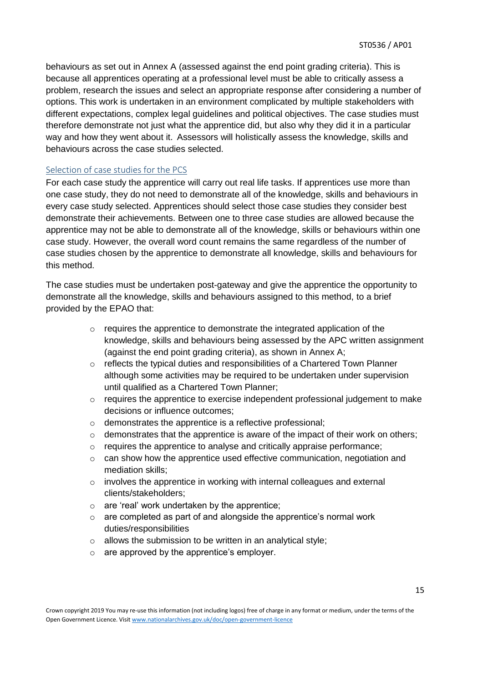behaviours as set out in Annex A (assessed against the end point grading criteria). This is because all apprentices operating at a professional level must be able to critically assess a problem, research the issues and select an appropriate response after considering a number of options. This work is undertaken in an environment complicated by multiple stakeholders with different expectations, complex legal guidelines and political objectives. The case studies must therefore demonstrate not just what the apprentice did, but also why they did it in a particular way and how they went about it. Assessors will holistically assess the knowledge, skills and behaviours across the case studies selected.

#### <span id="page-15-0"></span>Selection of case studies for the PCS

For each case study the apprentice will carry out real life tasks. If apprentices use more than one case study, they do not need to demonstrate all of the knowledge, skills and behaviours in every case study selected. Apprentices should select those case studies they consider best demonstrate their achievements. Between one to three case studies are allowed because the apprentice may not be able to demonstrate all of the knowledge, skills or behaviours within one case study. However, the overall word count remains the same regardless of the number of case studies chosen by the apprentice to demonstrate all knowledge, skills and behaviours for this method.

The case studies must be undertaken post-gateway and give the apprentice the opportunity to demonstrate all the knowledge, skills and behaviours assigned to this method, to a brief provided by the EPAO that:

- o requires the apprentice to demonstrate the integrated application of the knowledge, skills and behaviours being assessed by the APC written assignment (against the end point grading criteria), as shown in Annex A;
- $\circ$  reflects the typical duties and responsibilities of a Chartered Town Planner although some activities may be required to be undertaken under supervision until qualified as a Chartered Town Planner;
- o requires the apprentice to exercise independent professional judgement to make decisions or influence outcomes;
- o demonstrates the apprentice is a reflective professional;
- $\circ$  demonstrates that the apprentice is aware of the impact of their work on others;
- o requires the apprentice to analyse and critically appraise performance;
- o can show how the apprentice used effective communication, negotiation and mediation skills;
- o involves the apprentice in working with internal colleagues and external clients/stakeholders;
- o are 'real' work undertaken by the apprentice;
- $\circ$  are completed as part of and alongside the apprentice's normal work duties/responsibilities
- o allows the submission to be written in an analytical style;
- o are approved by the apprentice's employer.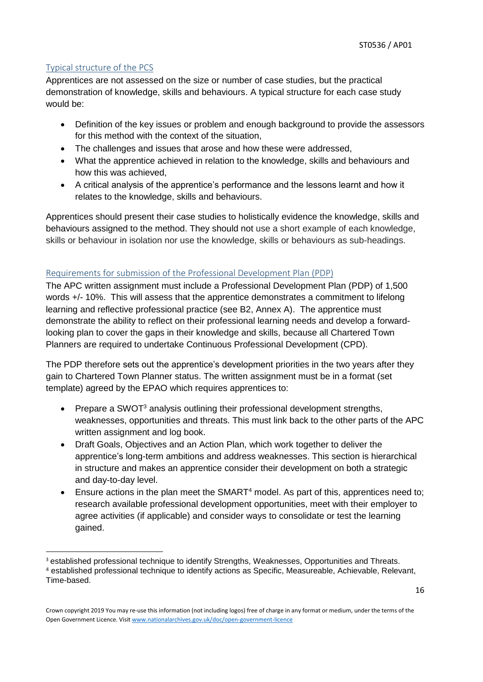#### <span id="page-16-0"></span>Typical structure of the PCS

1

Apprentices are not assessed on the size or number of case studies, but the practical demonstration of knowledge, skills and behaviours. A typical structure for each case study would be:

- Definition of the key issues or problem and enough background to provide the assessors for this method with the context of the situation,
- The challenges and issues that arose and how these were addressed,
- What the apprentice achieved in relation to the knowledge, skills and behaviours and how this was achieved,
- A critical analysis of the apprentice's performance and the lessons learnt and how it relates to the knowledge, skills and behaviours.

Apprentices should present their case studies to holistically evidence the knowledge, skills and behaviours assigned to the method. They should not use a short example of each knowledge, skills or behaviour in isolation nor use the knowledge, skills or behaviours as sub-headings.

#### <span id="page-16-1"></span>Requirements for submission of the Professional Development Plan (PDP)

The APC written assignment must include a Professional Development Plan (PDP) of 1,500 words +/- 10%. This will assess that the apprentice demonstrates a commitment to lifelong learning and reflective professional practice (see B2, Annex A). The apprentice must demonstrate the ability to reflect on their professional learning needs and develop a forwardlooking plan to cover the gaps in their knowledge and skills, because all Chartered Town Planners are required to undertake Continuous Professional Development (CPD).

The PDP therefore sets out the apprentice's development priorities in the two years after they gain to Chartered Town Planner status. The written assignment must be in a format (set template) agreed by the EPAO which requires apprentices to:

- Prepare a SWOT $3$  analysis outlining their professional development strengths, weaknesses, opportunities and threats. This must link back to the other parts of the APC written assignment and log book.
- Draft Goals, Objectives and an Action Plan, which work together to deliver the apprentice's long-term ambitions and address weaknesses. This section is hierarchical in structure and makes an apprentice consider their development on both a strategic and day-to-day level.
- Ensure actions in the plan meet the SMART<sup>4</sup> model. As part of this, apprentices need to; research available professional development opportunities, meet with their employer to agree activities (if applicable) and consider ways to consolidate or test the learning gained.

<sup>&</sup>lt;sup>3</sup> established professional technique to identify Strengths, Weaknesses, Opportunities and Threats. <sup>4</sup> established professional technique to identify actions as Specific, Measureable, Achievable, Relevant, Time-based.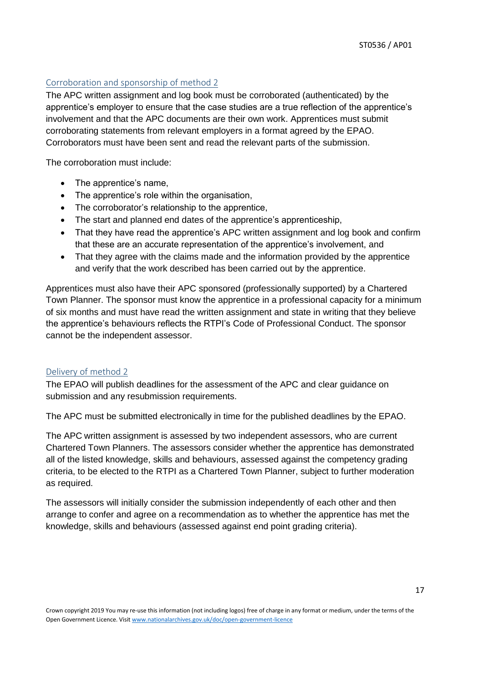#### <span id="page-17-0"></span>Corroboration and sponsorship of method 2

The APC written assignment and log book must be corroborated (authenticated) by the apprentice's employer to ensure that the case studies are a true reflection of the apprentice's involvement and that the APC documents are their own work. Apprentices must submit corroborating statements from relevant employers in a format agreed by the EPAO. Corroborators must have been sent and read the relevant parts of the submission.

The corroboration must include:

- The apprentice's name,
- The apprentice's role within the organisation,
- The corroborator's relationship to the apprentice,
- The start and planned end dates of the apprentice's apprenticeship,
- That they have read the apprentice's APC written assignment and log book and confirm that these are an accurate representation of the apprentice's involvement, and
- That they agree with the claims made and the information provided by the apprentice and verify that the work described has been carried out by the apprentice.

Apprentices must also have their APC sponsored (professionally supported) by a Chartered Town Planner. The sponsor must know the apprentice in a professional capacity for a minimum of six months and must have read the written assignment and state in writing that they believe the apprentice's behaviours reflects the RTPI's Code of Professional Conduct. The sponsor cannot be the independent assessor.

#### <span id="page-17-1"></span>Delivery of method 2

The EPAO will publish deadlines for the assessment of the APC and clear guidance on submission and any resubmission requirements.

The APC must be submitted electronically in time for the published deadlines by the EPAO.

The APC written assignment is assessed by two independent assessors, who are current Chartered Town Planners. The assessors consider whether the apprentice has demonstrated all of the listed knowledge, skills and behaviours, assessed against the competency grading criteria, to be elected to the RTPI as a Chartered Town Planner, subject to further moderation as required.

The assessors will initially consider the submission independently of each other and then arrange to confer and agree on a recommendation as to whether the apprentice has met the knowledge, skills and behaviours (assessed against end point grading criteria).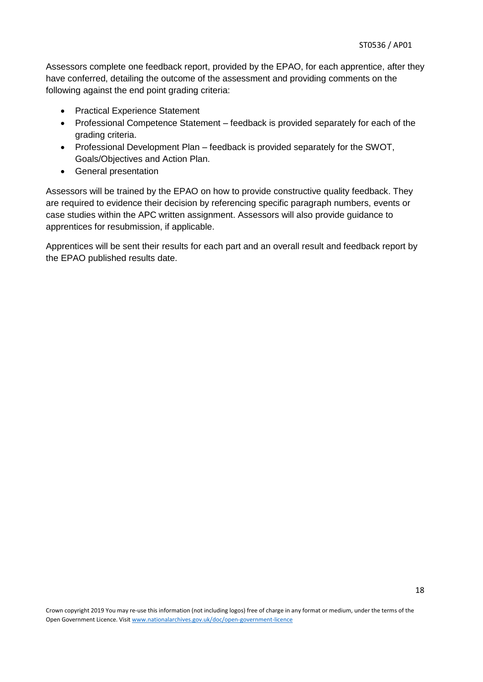Assessors complete one feedback report, provided by the EPAO, for each apprentice, after they have conferred, detailing the outcome of the assessment and providing comments on the following against the end point grading criteria:

- Practical Experience Statement
- Professional Competence Statement feedback is provided separately for each of the grading criteria.
- Professional Development Plan feedback is provided separately for the SWOT, Goals/Objectives and Action Plan.
- General presentation

Assessors will be trained by the EPAO on how to provide constructive quality feedback. They are required to evidence their decision by referencing specific paragraph numbers, events or case studies within the APC written assignment. Assessors will also provide guidance to apprentices for resubmission, if applicable.

Apprentices will be sent their results for each part and an overall result and feedback report by the EPAO published results date.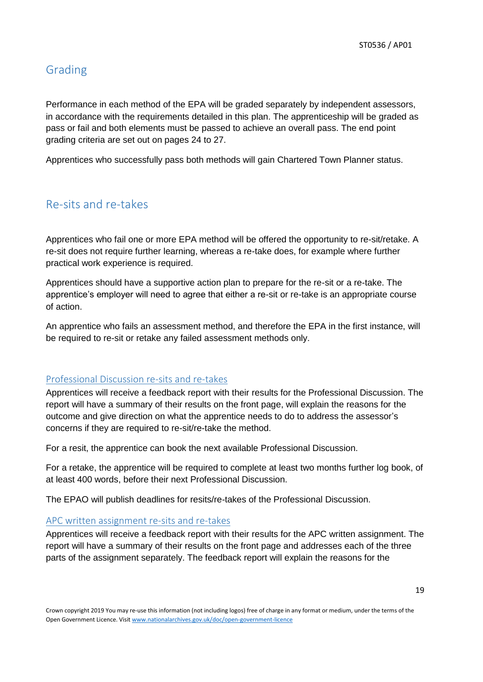### <span id="page-19-0"></span>Grading

Performance in each method of the EPA will be graded separately by independent assessors, in accordance with the requirements detailed in this plan. The apprenticeship will be graded as pass or fail and both elements must be passed to achieve an overall pass. The end point grading criteria are set out on pages 24 to 27.

Apprentices who successfully pass both methods will gain Chartered Town Planner status.

### <span id="page-19-1"></span>Re-sits and re-takes

Apprentices who fail one or more EPA method will be offered the opportunity to re-sit/retake. A re-sit does not require further learning, whereas a re-take does, for example where further practical work experience is required.

Apprentices should have a supportive action plan to prepare for the re-sit or a re-take. The apprentice's employer will need to agree that either a re-sit or re-take is an appropriate course of action.

An apprentice who fails an assessment method, and therefore the EPA in the first instance, will be required to re-sit or retake any failed assessment methods only.

#### <span id="page-19-2"></span>Professional Discussion re-sits and re-takes

Apprentices will receive a feedback report with their results for the Professional Discussion. The report will have a summary of their results on the front page, will explain the reasons for the outcome and give direction on what the apprentice needs to do to address the assessor's concerns if they are required to re-sit/re-take the method.

For a resit, the apprentice can book the next available Professional Discussion.

For a retake, the apprentice will be required to complete at least two months further log book, of at least 400 words, before their next Professional Discussion.

The EPAO will publish deadlines for resits/re-takes of the Professional Discussion.

#### <span id="page-19-3"></span>APC written assignment re-sits and re-takes

Apprentices will receive a feedback report with their results for the APC written assignment. The report will have a summary of their results on the front page and addresses each of the three parts of the assignment separately. The feedback report will explain the reasons for the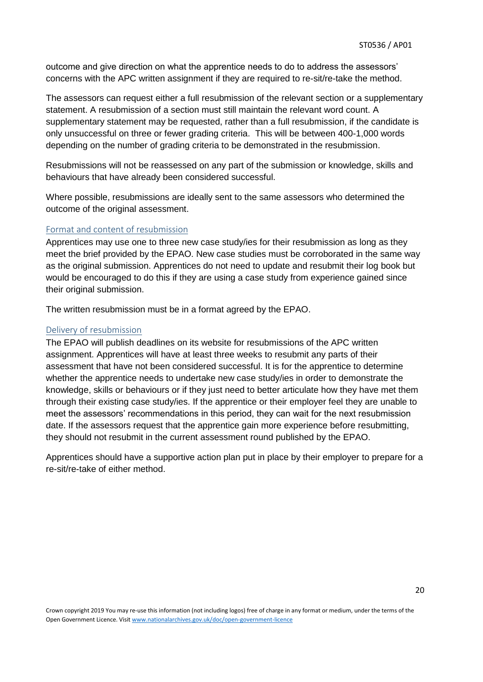outcome and give direction on what the apprentice needs to do to address the assessors' concerns with the APC written assignment if they are required to re-sit/re-take the method.

The assessors can request either a full resubmission of the relevant section or a supplementary statement. A resubmission of a section must still maintain the relevant word count. A supplementary statement may be requested, rather than a full resubmission, if the candidate is only unsuccessful on three or fewer grading criteria. This will be between 400-1,000 words depending on the number of grading criteria to be demonstrated in the resubmission.

Resubmissions will not be reassessed on any part of the submission or knowledge, skills and behaviours that have already been considered successful.

Where possible, resubmissions are ideally sent to the same assessors who determined the outcome of the original assessment.

#### <span id="page-20-0"></span>Format and content of resubmission

Apprentices may use one to three new case study/ies for their resubmission as long as they meet the brief provided by the EPAO. New case studies must be corroborated in the same way as the original submission. Apprentices do not need to update and resubmit their log book but would be encouraged to do this if they are using a case study from experience gained since their original submission.

The written resubmission must be in a format agreed by the EPAO.

#### <span id="page-20-1"></span>Delivery of resubmission

The EPAO will publish deadlines on its website for resubmissions of the APC written assignment. Apprentices will have at least three weeks to resubmit any parts of their assessment that have not been considered successful. It is for the apprentice to determine whether the apprentice needs to undertake new case study/ies in order to demonstrate the knowledge, skills or behaviours or if they just need to better articulate how they have met them through their existing case study/ies. If the apprentice or their employer feel they are unable to meet the assessors' recommendations in this period, they can wait for the next resubmission date. If the assessors request that the apprentice gain more experience before resubmitting, they should not resubmit in the current assessment round published by the EPAO.

Apprentices should have a supportive action plan put in place by their employer to prepare for a re-sit/re-take of either method.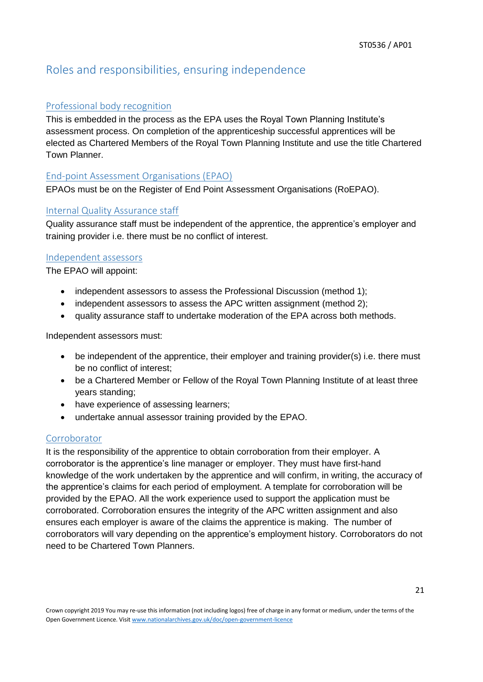# <span id="page-21-0"></span>Roles and responsibilities, ensuring independence

#### <span id="page-21-1"></span>Professional body recognition

This is embedded in the process as the EPA uses the Royal Town Planning Institute's assessment process. On completion of the apprenticeship successful apprentices will be elected as Chartered Members of the Royal Town Planning Institute and use the title Chartered Town Planner.

#### <span id="page-21-2"></span>End-point Assessment Organisations (EPAO)

EPAOs must be on the Register of End Point Assessment Organisations (RoEPAO).

#### <span id="page-21-3"></span>Internal Quality Assurance staff

Quality assurance staff must be independent of the apprentice, the apprentice's employer and training provider i.e. there must be no conflict of interest.

#### <span id="page-21-4"></span>Independent assessors

The EPAO will appoint:

- independent assessors to assess the Professional Discussion (method 1);
- independent assessors to assess the APC written assignment (method 2);
- quality assurance staff to undertake moderation of the EPA across both methods.

Independent assessors must:

- be independent of the apprentice, their employer and training provider(s) i.e. there must be no conflict of interest;
- be a Chartered Member or Fellow of the Royal Town Planning Institute of at least three years standing;
- have experience of assessing learners;
- undertake annual assessor training provided by the EPAO.

#### <span id="page-21-5"></span>Corroborator

It is the responsibility of the apprentice to obtain corroboration from their employer. A corroborator is the apprentice's line manager or employer. They must have first-hand knowledge of the work undertaken by the apprentice and will confirm, in writing, the accuracy of the apprentice's claims for each period of employment. A template for corroboration will be provided by the EPAO. All the work experience used to support the application must be corroborated. Corroboration ensures the integrity of the APC written assignment and also ensures each employer is aware of the claims the apprentice is making. The number of corroborators will vary depending on the apprentice's employment history. Corroborators do not need to be Chartered Town Planners.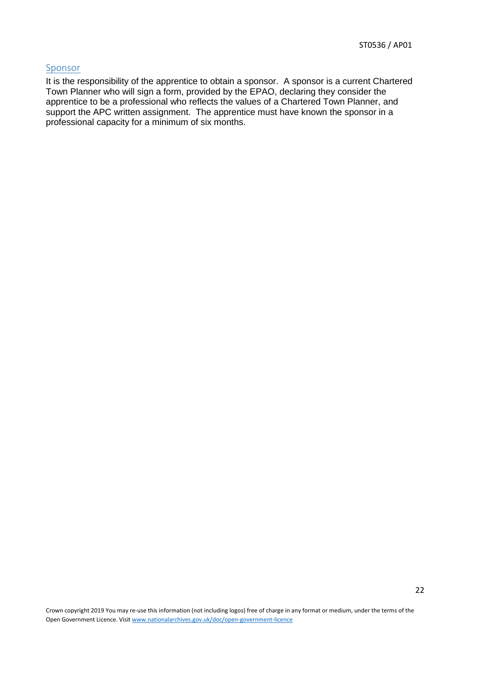#### <span id="page-22-0"></span>Sponsor

It is the responsibility of the apprentice to obtain a sponsor. A sponsor is a current Chartered Town Planner who will sign a form, provided by the EPAO, declaring they consider the apprentice to be a professional who reflects the values of a Chartered Town Planner, and support the APC written assignment. The apprentice must have known the sponsor in a professional capacity for a minimum of six months.

Crown copyright 2019 You may re-use this information (not including logos) free of charge in any format or medium, under the terms of the Open Government Licence. Visit [www.nationalarchives.gov.uk/doc/open-government-licence](http://www.nationalarchives.gov.uk/doc/open-government-licence)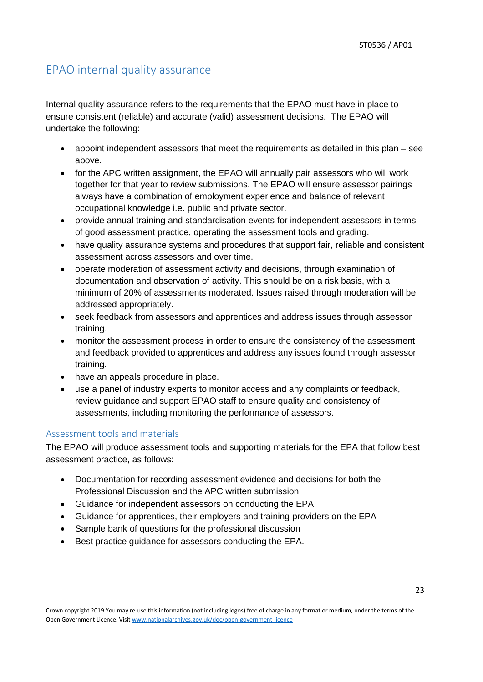# <span id="page-23-0"></span>EPAO internal quality assurance

Internal quality assurance refers to the requirements that the EPAO must have in place to ensure consistent (reliable) and accurate (valid) assessment decisions. The EPAO will undertake the following:

- appoint independent assessors that meet the requirements as detailed in this plan see above.
- for the APC written assignment, the EPAO will annually pair assessors who will work together for that year to review submissions. The EPAO will ensure assessor pairings always have a combination of employment experience and balance of relevant occupational knowledge i.e. public and private sector.
- provide annual training and standardisation events for independent assessors in terms of good assessment practice, operating the assessment tools and grading.
- have quality assurance systems and procedures that support fair, reliable and consistent assessment across assessors and over time.
- operate moderation of assessment activity and decisions, through examination of documentation and observation of activity. This should be on a risk basis, with a minimum of 20% of assessments moderated. Issues raised through moderation will be addressed appropriately.
- seek feedback from assessors and apprentices and address issues through assessor training.
- monitor the assessment process in order to ensure the consistency of the assessment and feedback provided to apprentices and address any issues found through assessor training.
- have an appeals procedure in place.
- use a panel of industry experts to monitor access and any complaints or feedback, review guidance and support EPAO staff to ensure quality and consistency of assessments, including monitoring the performance of assessors.

#### <span id="page-23-1"></span>Assessment tools and materials

The EPAO will produce assessment tools and supporting materials for the EPA that follow best assessment practice, as follows:

- Documentation for recording assessment evidence and decisions for both the Professional Discussion and the APC written submission
- Guidance for independent assessors on conducting the EPA
- Guidance for apprentices, their employers and training providers on the EPA
- Sample bank of questions for the professional discussion
- Best practice guidance for assessors conducting the EPA.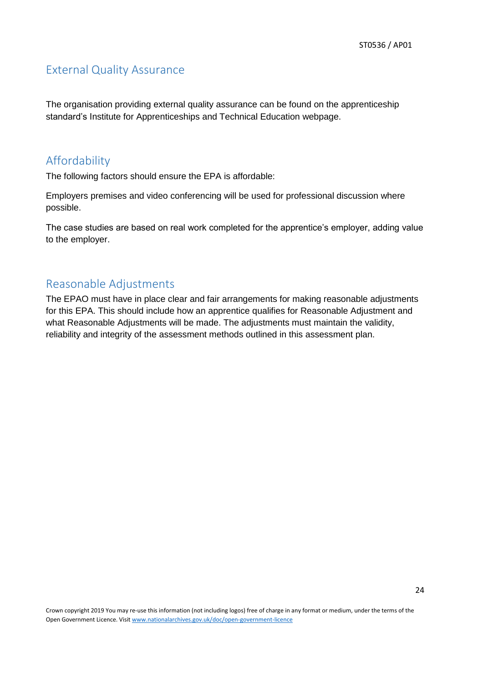### <span id="page-24-0"></span>External Quality Assurance

The organisation providing external quality assurance can be found on the apprenticeship standard's Institute for Apprenticeships and Technical Education webpage.

# <span id="page-24-1"></span>Affordability

The following factors should ensure the EPA is affordable:

Employers premises and video conferencing will be used for professional discussion where possible.

The case studies are based on real work completed for the apprentice's employer, adding value to the employer.

# <span id="page-24-2"></span>Reasonable Adjustments

The EPAO must have in place clear and fair arrangements for making reasonable adjustments for this EPA. This should include how an apprentice qualifies for Reasonable Adjustment and what Reasonable Adjustments will be made. The adjustments must maintain the validity, reliability and integrity of the assessment methods outlined in this assessment plan.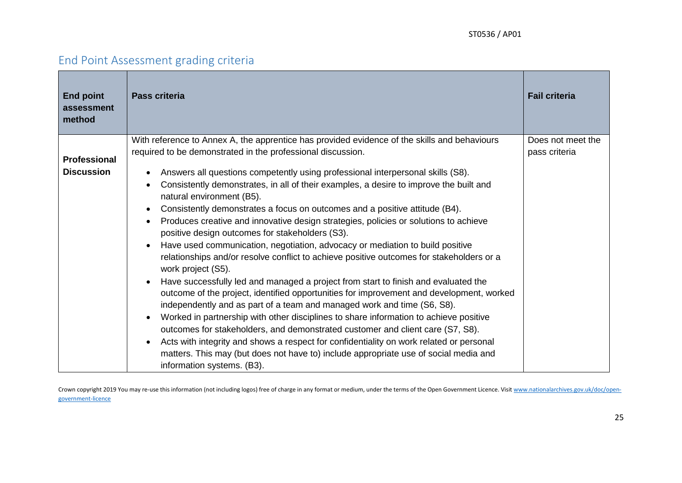# End Point Assessment grading criteria

<span id="page-25-0"></span>

| <b>End point</b><br>assessment<br>method | <b>Pass criteria</b>                                                                                                                                                                            | <b>Fail criteria</b> |
|------------------------------------------|-------------------------------------------------------------------------------------------------------------------------------------------------------------------------------------------------|----------------------|
|                                          | With reference to Annex A, the apprentice has provided evidence of the skills and behaviours                                                                                                    | Does not meet the    |
| <b>Professional</b>                      | required to be demonstrated in the professional discussion.                                                                                                                                     | pass criteria        |
| <b>Discussion</b>                        | Answers all questions competently using professional interpersonal skills (S8).                                                                                                                 |                      |
|                                          | Consistently demonstrates, in all of their examples, a desire to improve the built and<br>natural environment (B5).                                                                             |                      |
|                                          | Consistently demonstrates a focus on outcomes and a positive attitude (B4).                                                                                                                     |                      |
|                                          | Produces creative and innovative design strategies, policies or solutions to achieve                                                                                                            |                      |
|                                          | positive design outcomes for stakeholders (S3).                                                                                                                                                 |                      |
|                                          | Have used communication, negotiation, advocacy or mediation to build positive<br>relationships and/or resolve conflict to achieve positive outcomes for stakeholders or a<br>work project (S5). |                      |
|                                          | Have successfully led and managed a project from start to finish and evaluated the                                                                                                              |                      |
|                                          | outcome of the project, identified opportunities for improvement and development, worked<br>independently and as part of a team and managed work and time (S6, S8).                             |                      |
|                                          | Worked in partnership with other disciplines to share information to achieve positive                                                                                                           |                      |
|                                          | outcomes for stakeholders, and demonstrated customer and client care (S7, S8).                                                                                                                  |                      |
|                                          | Acts with integrity and shows a respect for confidentiality on work related or personal                                                                                                         |                      |
|                                          | matters. This may (but does not have to) include appropriate use of social media and<br>information systems. (B3).                                                                              |                      |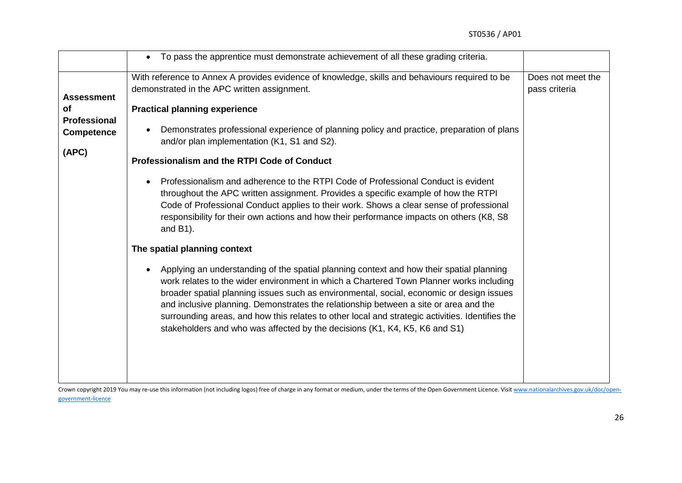|                                                                       | To pass the apprentice must demonstrate achievement of all these grading criteria.<br>$\bullet$                                                                                                                                                                                                                                                                                                                                                                                                                                                                                                                                                                                                                                                                                                                                                                                                                                                                                                                                                                                                                                                                                                                                                                                                                                                                 |                                    |
|-----------------------------------------------------------------------|-----------------------------------------------------------------------------------------------------------------------------------------------------------------------------------------------------------------------------------------------------------------------------------------------------------------------------------------------------------------------------------------------------------------------------------------------------------------------------------------------------------------------------------------------------------------------------------------------------------------------------------------------------------------------------------------------------------------------------------------------------------------------------------------------------------------------------------------------------------------------------------------------------------------------------------------------------------------------------------------------------------------------------------------------------------------------------------------------------------------------------------------------------------------------------------------------------------------------------------------------------------------------------------------------------------------------------------------------------------------|------------------------------------|
| <b>Assessment</b><br>0f<br>Professional<br><b>Competence</b><br>(APC) | With reference to Annex A provides evidence of knowledge, skills and behaviours required to be<br>demonstrated in the APC written assignment.<br><b>Practical planning experience</b><br>Demonstrates professional experience of planning policy and practice, preparation of plans<br>and/or plan implementation (K1, S1 and S2).<br>Professionalism and the RTPI Code of Conduct<br>Professionalism and adherence to the RTPI Code of Professional Conduct is evident<br>throughout the APC written assignment. Provides a specific example of how the RTPI<br>Code of Professional Conduct applies to their work. Shows a clear sense of professional<br>responsibility for their own actions and how their performance impacts on others (K8, S8<br>and $B1$ ).<br>The spatial planning context<br>Applying an understanding of the spatial planning context and how their spatial planning<br>work relates to the wider environment in which a Chartered Town Planner works including<br>broader spatial planning issues such as environmental, social, economic or design issues<br>and inclusive planning. Demonstrates the relationship between a site or area and the<br>surrounding areas, and how this relates to other local and strategic activities. Identifies the<br>stakeholders and who was affected by the decisions (K1, K4, K5, K6 and S1) | Does not meet the<br>pass criteria |
|                                                                       |                                                                                                                                                                                                                                                                                                                                                                                                                                                                                                                                                                                                                                                                                                                                                                                                                                                                                                                                                                                                                                                                                                                                                                                                                                                                                                                                                                 |                                    |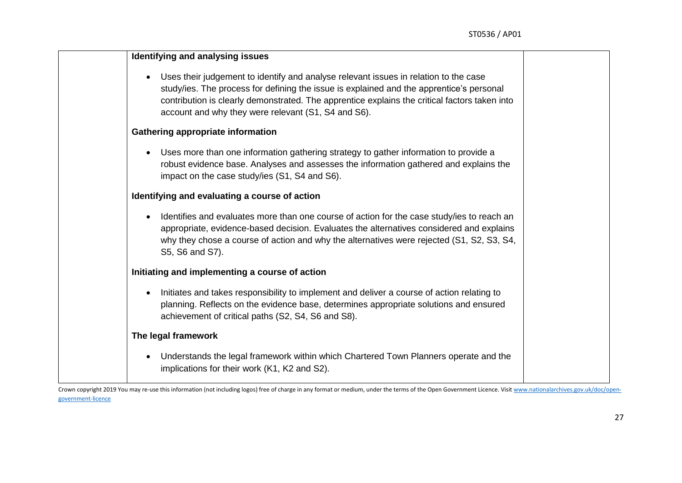| Identifying and analysing issues                                                                                                                                                                                                                                                                                                                      |
|-------------------------------------------------------------------------------------------------------------------------------------------------------------------------------------------------------------------------------------------------------------------------------------------------------------------------------------------------------|
| Uses their judgement to identify and analyse relevant issues in relation to the case<br>$\bullet$<br>study/ies. The process for defining the issue is explained and the apprentice's personal<br>contribution is clearly demonstrated. The apprentice explains the critical factors taken into<br>account and why they were relevant (S1, S4 and S6). |
| <b>Gathering appropriate information</b>                                                                                                                                                                                                                                                                                                              |
| Uses more than one information gathering strategy to gather information to provide a<br>$\bullet$<br>robust evidence base. Analyses and assesses the information gathered and explains the<br>impact on the case study/ies (S1, S4 and S6).                                                                                                           |
| Identifying and evaluating a course of action                                                                                                                                                                                                                                                                                                         |
| Identifies and evaluates more than one course of action for the case study/ies to reach an<br>$\bullet$<br>appropriate, evidence-based decision. Evaluates the alternatives considered and explains<br>why they chose a course of action and why the alternatives were rejected (S1, S2, S3, S4,<br>S5, S6 and S7).                                   |
| Initiating and implementing a course of action                                                                                                                                                                                                                                                                                                        |
| Initiates and takes responsibility to implement and deliver a course of action relating to<br>$\bullet$<br>planning. Reflects on the evidence base, determines appropriate solutions and ensured<br>achievement of critical paths (S2, S4, S6 and S8).                                                                                                |
| The legal framework                                                                                                                                                                                                                                                                                                                                   |
| Understands the legal framework within which Chartered Town Planners operate and the<br>$\bullet$<br>implications for their work (K1, K2 and S2).                                                                                                                                                                                                     |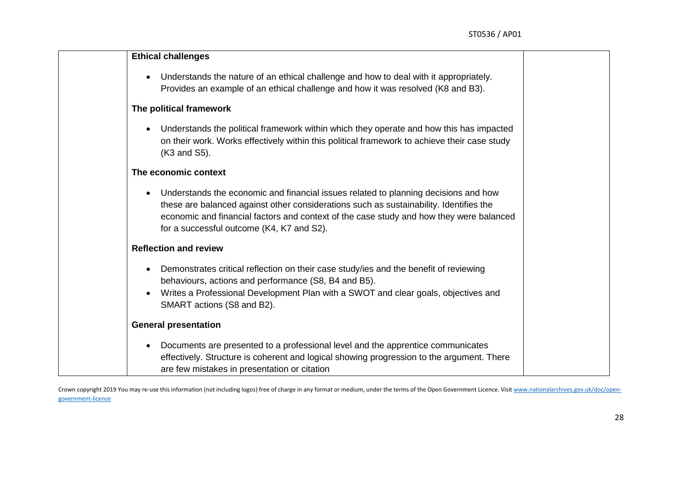|           | <b>Ethical challenges</b>                                                                    |
|-----------|----------------------------------------------------------------------------------------------|
|           |                                                                                              |
|           | Understands the nature of an ethical challenge and how to deal with it appropriately.        |
|           | Provides an example of an ethical challenge and how it was resolved (K8 and B3).             |
|           | The political framework                                                                      |
| $\bullet$ | Understands the political framework within which they operate and how this has impacted      |
|           | on their work. Works effectively within this political framework to achieve their case study |
|           | (K3 and S5).                                                                                 |
|           | The economic context                                                                         |
| $\bullet$ | Understands the economic and financial issues related to planning decisions and how          |
|           | these are balanced against other considerations such as sustainability. Identifies the       |
|           | economic and financial factors and context of the case study and how they were balanced      |
|           | for a successful outcome (K4, K7 and S2).                                                    |
|           | <b>Reflection and review</b>                                                                 |
| $\bullet$ | Demonstrates critical reflection on their case study/ies and the benefit of reviewing        |
|           | behaviours, actions and performance (S8, B4 and B5).                                         |
| $\bullet$ | Writes a Professional Development Plan with a SWOT and clear goals, objectives and           |
|           | SMART actions (S8 and B2).                                                                   |
|           | <b>General presentation</b>                                                                  |
|           | Documents are presented to a professional level and the apprentice communicates              |
|           | effectively. Structure is coherent and logical showing progression to the argument. There    |
|           | are few mistakes in presentation or citation                                                 |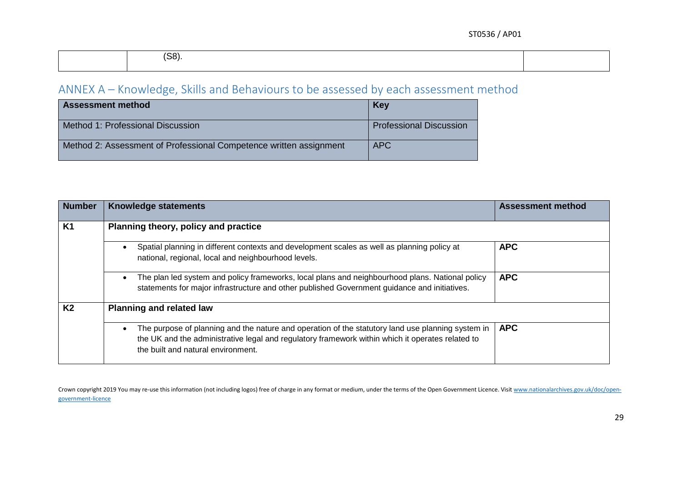| $\sqrt{2}$<br>ാറ' |  |
|-------------------|--|
|                   |  |

# ANNEX A – Knowledge, Skills and Behaviours to be assessed by each assessment method

| <b>Assessment method</b>                                           | Key                            |
|--------------------------------------------------------------------|--------------------------------|
| Method 1: Professional Discussion                                  | <b>Professional Discussion</b> |
| Method 2: Assessment of Professional Competence written assignment | <b>APC</b>                     |

<span id="page-29-0"></span>

| <b>Number</b>  | <b>Knowledge statements</b>                                                                                                                                                                                                                              | <b>Assessment method</b> |  |  |  |
|----------------|----------------------------------------------------------------------------------------------------------------------------------------------------------------------------------------------------------------------------------------------------------|--------------------------|--|--|--|
| <b>K1</b>      | Planning theory, policy and practice                                                                                                                                                                                                                     |                          |  |  |  |
|                | Spatial planning in different contexts and development scales as well as planning policy at<br>national, regional, local and neighbourhood levels.                                                                                                       | <b>APC</b>               |  |  |  |
|                | The plan led system and policy frameworks, local plans and neighbourhood plans. National policy<br>statements for major infrastructure and other published Government guidance and initiatives.                                                          | <b>APC</b>               |  |  |  |
| K <sub>2</sub> | <b>Planning and related law</b>                                                                                                                                                                                                                          |                          |  |  |  |
|                | The purpose of planning and the nature and operation of the statutory land use planning system in<br>$\bullet$<br>the UK and the administrative legal and regulatory framework within which it operates related to<br>the built and natural environment. | <b>APC</b>               |  |  |  |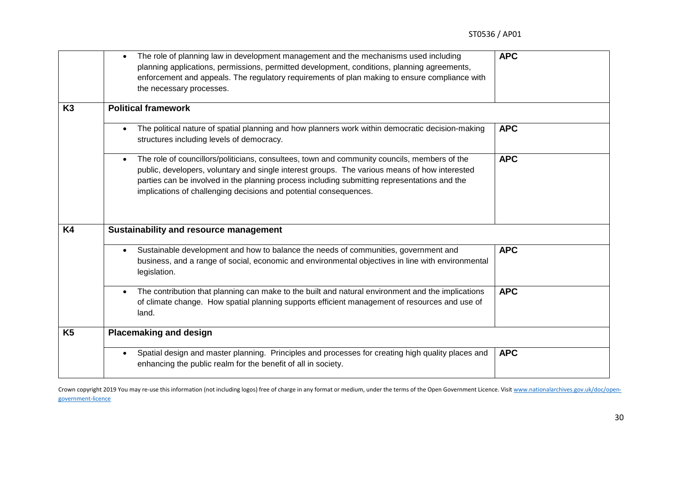|           | The role of planning law in development management and the mechanisms used including<br>$\bullet$<br>planning applications, permissions, permitted development, conditions, planning agreements,<br>enforcement and appeals. The regulatory requirements of plan making to ensure compliance with<br>the necessary processes.                                                   | <b>APC</b> |
|-----------|---------------------------------------------------------------------------------------------------------------------------------------------------------------------------------------------------------------------------------------------------------------------------------------------------------------------------------------------------------------------------------|------------|
| K3        | <b>Political framework</b>                                                                                                                                                                                                                                                                                                                                                      |            |
|           | The political nature of spatial planning and how planners work within democratic decision-making<br>structures including levels of democracy.                                                                                                                                                                                                                                   | <b>APC</b> |
|           | The role of councillors/politicians, consultees, town and community councils, members of the<br>$\bullet$<br>public, developers, voluntary and single interest groups. The various means of how interested<br>parties can be involved in the planning process including submitting representations and the<br>implications of challenging decisions and potential consequences. | <b>APC</b> |
| <b>K4</b> | Sustainability and resource management                                                                                                                                                                                                                                                                                                                                          |            |
|           | Sustainable development and how to balance the needs of communities, government and<br>business, and a range of social, economic and environmental objectives in line with environmental<br>legislation.                                                                                                                                                                        | <b>APC</b> |
|           | The contribution that planning can make to the built and natural environment and the implications<br>$\bullet$<br>of climate change. How spatial planning supports efficient management of resources and use of<br>land.                                                                                                                                                        | <b>APC</b> |
| <b>K5</b> | <b>Placemaking and design</b>                                                                                                                                                                                                                                                                                                                                                   |            |
|           | Spatial design and master planning. Principles and processes for creating high quality places and<br>$\bullet$<br>enhancing the public realm for the benefit of all in society.                                                                                                                                                                                                 | <b>APC</b> |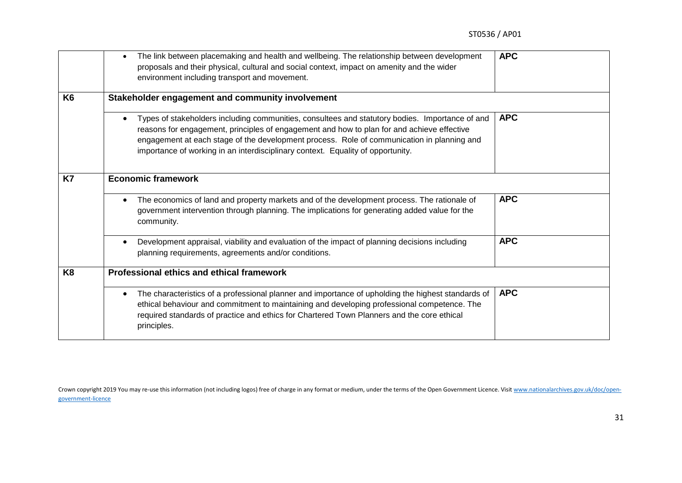|                | The link between placemaking and health and wellbeing. The relationship between development<br>$\bullet$<br>proposals and their physical, cultural and social context, impact on amenity and the wider<br>environment including transport and movement.                                                                                                                        | <b>APC</b> |  |
|----------------|--------------------------------------------------------------------------------------------------------------------------------------------------------------------------------------------------------------------------------------------------------------------------------------------------------------------------------------------------------------------------------|------------|--|
| K <sub>6</sub> | Stakeholder engagement and community involvement                                                                                                                                                                                                                                                                                                                               |            |  |
|                | Types of stakeholders including communities, consultees and statutory bodies. Importance of and<br>reasons for engagement, principles of engagement and how to plan for and achieve effective<br>engagement at each stage of the development process. Role of communication in planning and<br>importance of working in an interdisciplinary context. Equality of opportunity. | <b>APC</b> |  |
| K7             | <b>Economic framework</b>                                                                                                                                                                                                                                                                                                                                                      |            |  |
|                | The economics of land and property markets and of the development process. The rationale of<br>$\bullet$<br>government intervention through planning. The implications for generating added value for the<br>community.                                                                                                                                                        | <b>APC</b> |  |
|                | Development appraisal, viability and evaluation of the impact of planning decisions including<br>planning requirements, agreements and/or conditions.                                                                                                                                                                                                                          | <b>APC</b> |  |
| K <sub>8</sub> | Professional ethics and ethical framework                                                                                                                                                                                                                                                                                                                                      |            |  |
|                | The characteristics of a professional planner and importance of upholding the highest standards of<br>$\bullet$<br>ethical behaviour and commitment to maintaining and developing professional competence. The<br>required standards of practice and ethics for Chartered Town Planners and the core ethical<br>principles.                                                    | <b>APC</b> |  |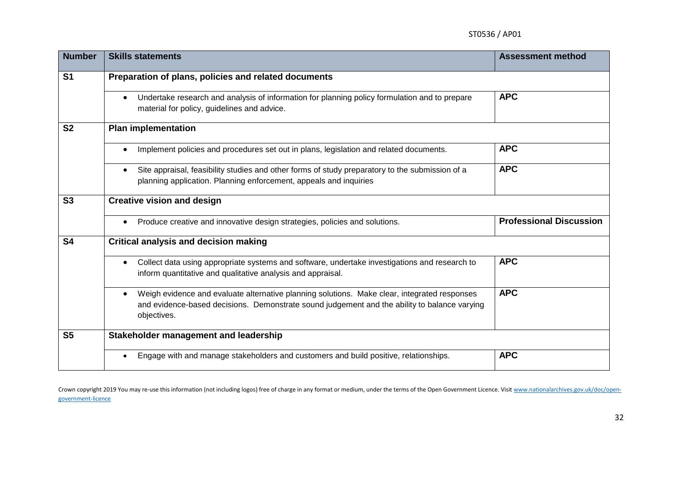| <b>Number</b>  | <b>Skills statements</b>                                                                                                                                                                                                 | <b>Assessment method</b>       |  |
|----------------|--------------------------------------------------------------------------------------------------------------------------------------------------------------------------------------------------------------------------|--------------------------------|--|
| S <sub>1</sub> | Preparation of plans, policies and related documents                                                                                                                                                                     |                                |  |
|                | Undertake research and analysis of information for planning policy formulation and to prepare<br>material for policy, guidelines and advice.                                                                             | <b>APC</b>                     |  |
| <b>S2</b>      | <b>Plan implementation</b>                                                                                                                                                                                               |                                |  |
|                | Implement policies and procedures set out in plans, legislation and related documents.                                                                                                                                   | <b>APC</b>                     |  |
|                | Site appraisal, feasibility studies and other forms of study preparatory to the submission of a<br>planning application. Planning enforcement, appeals and inquiries                                                     | <b>APC</b>                     |  |
| S <sub>3</sub> | <b>Creative vision and design</b>                                                                                                                                                                                        |                                |  |
|                | Produce creative and innovative design strategies, policies and solutions.<br>$\bullet$                                                                                                                                  | <b>Professional Discussion</b> |  |
| S <sub>4</sub> | <b>Critical analysis and decision making</b>                                                                                                                                                                             |                                |  |
|                | Collect data using appropriate systems and software, undertake investigations and research to<br>$\bullet$<br>inform quantitative and qualitative analysis and appraisal.                                                | <b>APC</b>                     |  |
|                | Weigh evidence and evaluate alternative planning solutions. Make clear, integrated responses<br>$\bullet$<br>and evidence-based decisions. Demonstrate sound judgement and the ability to balance varying<br>objectives. | <b>APC</b>                     |  |
| <b>S5</b>      | Stakeholder management and leadership                                                                                                                                                                                    |                                |  |
|                | Engage with and manage stakeholders and customers and build positive, relationships.                                                                                                                                     | <b>APC</b>                     |  |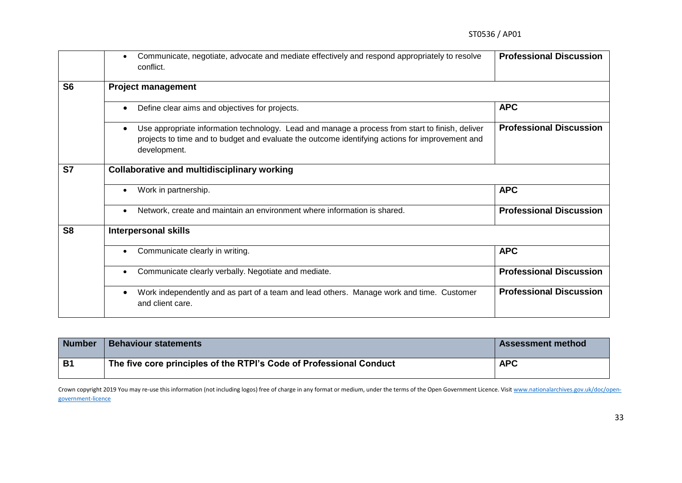|                | Communicate, negotiate, advocate and mediate effectively and respond appropriately to resolve<br>conflict.                                                                                                         | <b>Professional Discussion</b> |  |
|----------------|--------------------------------------------------------------------------------------------------------------------------------------------------------------------------------------------------------------------|--------------------------------|--|
| S <sub>6</sub> | <b>Project management</b>                                                                                                                                                                                          |                                |  |
|                | Define clear aims and objectives for projects.<br>$\bullet$                                                                                                                                                        | <b>APC</b>                     |  |
|                | Use appropriate information technology. Lead and manage a process from start to finish, deliver<br>projects to time and to budget and evaluate the outcome identifying actions for improvement and<br>development. | <b>Professional Discussion</b> |  |
| <b>S7</b>      | <b>Collaborative and multidisciplinary working</b>                                                                                                                                                                 |                                |  |
|                | Work in partnership.                                                                                                                                                                                               | <b>APC</b>                     |  |
|                | Network, create and maintain an environment where information is shared.                                                                                                                                           | <b>Professional Discussion</b> |  |
| S <sub>8</sub> | <b>Interpersonal skills</b>                                                                                                                                                                                        |                                |  |
|                | Communicate clearly in writing.<br>$\bullet$                                                                                                                                                                       | <b>APC</b>                     |  |
|                | Communicate clearly verbally. Negotiate and mediate.<br>$\bullet$                                                                                                                                                  | <b>Professional Discussion</b> |  |
|                | Work independently and as part of a team and lead others. Manage work and time. Customer<br>and client care.                                                                                                       | <b>Professional Discussion</b> |  |

| <b>Number</b> | <b>Behaviour statements</b>                                         | <b>Assessment method</b> |
|---------------|---------------------------------------------------------------------|--------------------------|
| <b>B1</b>     | The five core principles of the RTPI's Code of Professional Conduct | <b>APC</b>               |